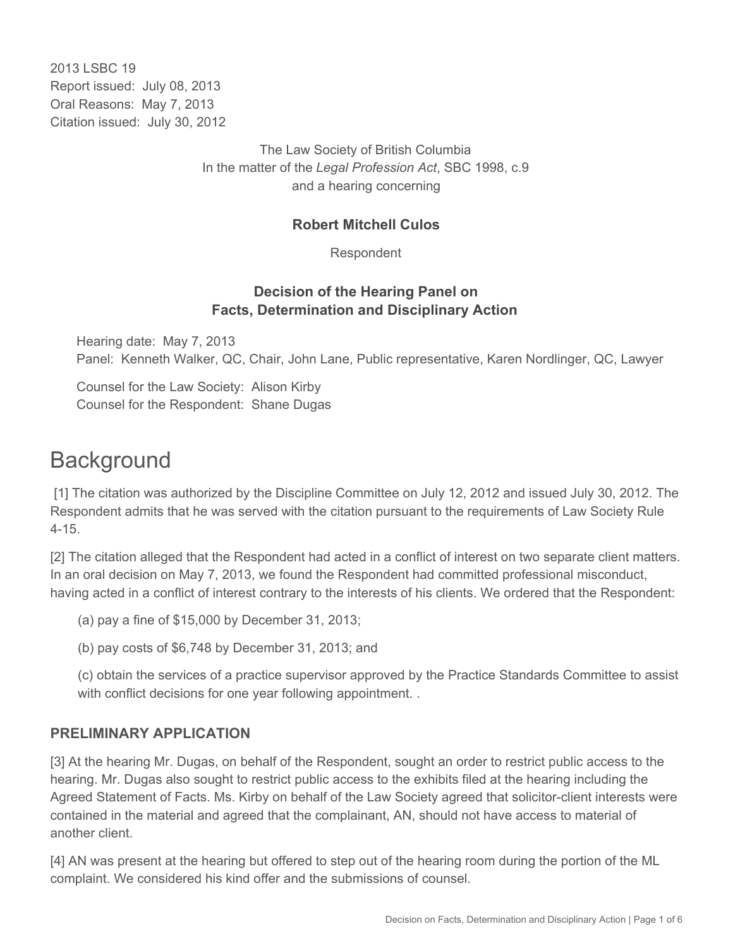2013 LSBC 19 Report issued: July 08, 2013 Oral Reasons: May 7, 2013 Citation issued: July 30, 2012

> The Law Society of British Columbia In the matter of the *Legal Profession Act*, SBC 1998, c.9 and a hearing concerning

#### **Robert Mitchell Culos**

Respondent

#### **Decision of the Hearing Panel on Facts, Determination and Disciplinary Action**

Hearing date: May 7, 2013 Panel: Kenneth Walker, QC, Chair, John Lane, Public representative, Karen Nordlinger, QC, Lawyer

Counsel for the Law Society: Alison Kirby Counsel for the Respondent: Shane Dugas

## **Background**

 [1] The citation was authorized by the Discipline Committee on July 12, 2012 and issued July 30, 2012. The Respondent admits that he was served with the citation pursuant to the requirements of Law Society Rule 4-15.

[2] The citation alleged that the Respondent had acted in a conflict of interest on two separate client matters. In an oral decision on May 7, 2013, we found the Respondent had committed professional misconduct, having acted in a conflict of interest contrary to the interests of his clients. We ordered that the Respondent:

(a) pay a fine of \$15,000 by December 31, 2013;

(b) pay costs of \$6,748 by December 31, 2013; and

(c) obtain the services of a practice supervisor approved by the Practice Standards Committee to assist with conflict decisions for one year following appointment...

### **PRELIMINARY APPLICATION**

[3] At the hearing Mr. Dugas, on behalf of the Respondent, sought an order to restrict public access to the hearing. Mr. Dugas also sought to restrict public access to the exhibits filed at the hearing including the Agreed Statement of Facts. Ms. Kirby on behalf of the Law Society agreed that solicitor-client interests were contained in the material and agreed that the complainant, AN, should not have access to material of another client.

[4] AN was present at the hearing but offered to step out of the hearing room during the portion of the ML complaint. We considered his kind offer and the submissions of counsel.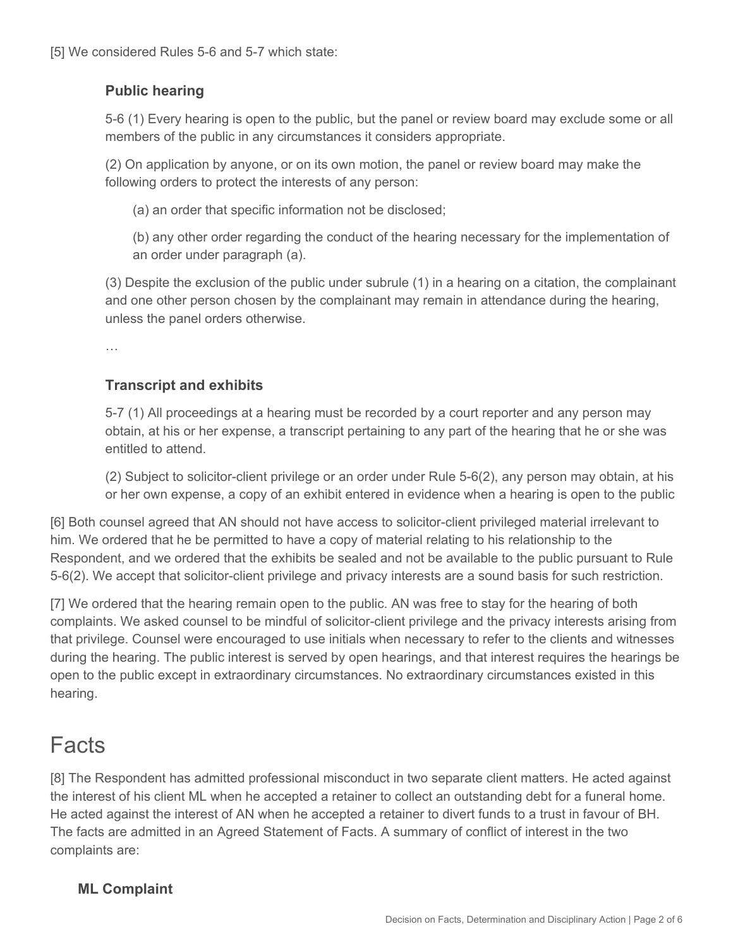[5] We considered Rules 5-6 and 5-7 which state:

### **Public hearing**

5-6 (1) Every hearing is open to the public, but the panel or review board may exclude some or all members of the public in any circumstances it considers appropriate.

(2) On application by anyone, or on its own motion, the panel or review board may make the following orders to protect the interests of any person:

(a) an order that specific information not be disclosed;

(b) any other order regarding the conduct of the hearing necessary for the implementation of an order under paragraph (a).

(3) Despite the exclusion of the public under subrule (1) in a hearing on a citation, the complainant and one other person chosen by the complainant may remain in attendance during the hearing, unless the panel orders otherwise.

…

### **Transcript and exhibits**

5-7 (1) All proceedings at a hearing must be recorded by a court reporter and any person may obtain, at his or her expense, a transcript pertaining to any part of the hearing that he or she was entitled to attend.

(2) Subject to solicitor-client privilege or an order under Rule 5-6(2), any person may obtain, at his or her own expense, a copy of an exhibit entered in evidence when a hearing is open to the public

[6] Both counsel agreed that AN should not have access to solicitor-client privileged material irrelevant to him. We ordered that he be permitted to have a copy of material relating to his relationship to the Respondent, and we ordered that the exhibits be sealed and not be available to the public pursuant to Rule 5-6(2). We accept that solicitor-client privilege and privacy interests are a sound basis for such restriction.

[7] We ordered that the hearing remain open to the public. AN was free to stay for the hearing of both complaints. We asked counsel to be mindful of solicitor-client privilege and the privacy interests arising from that privilege. Counsel were encouraged to use initials when necessary to refer to the clients and witnesses during the hearing. The public interest is served by open hearings, and that interest requires the hearings be open to the public except in extraordinary circumstances. No extraordinary circumstances existed in this hearing.

## Facts

[8] The Respondent has admitted professional misconduct in two separate client matters. He acted against the interest of his client ML when he accepted a retainer to collect an outstanding debt for a funeral home. He acted against the interest of AN when he accepted a retainer to divert funds to a trust in favour of BH. The facts are admitted in an Agreed Statement of Facts. A summary of conflict of interest in the two complaints are:

### **ML Complaint**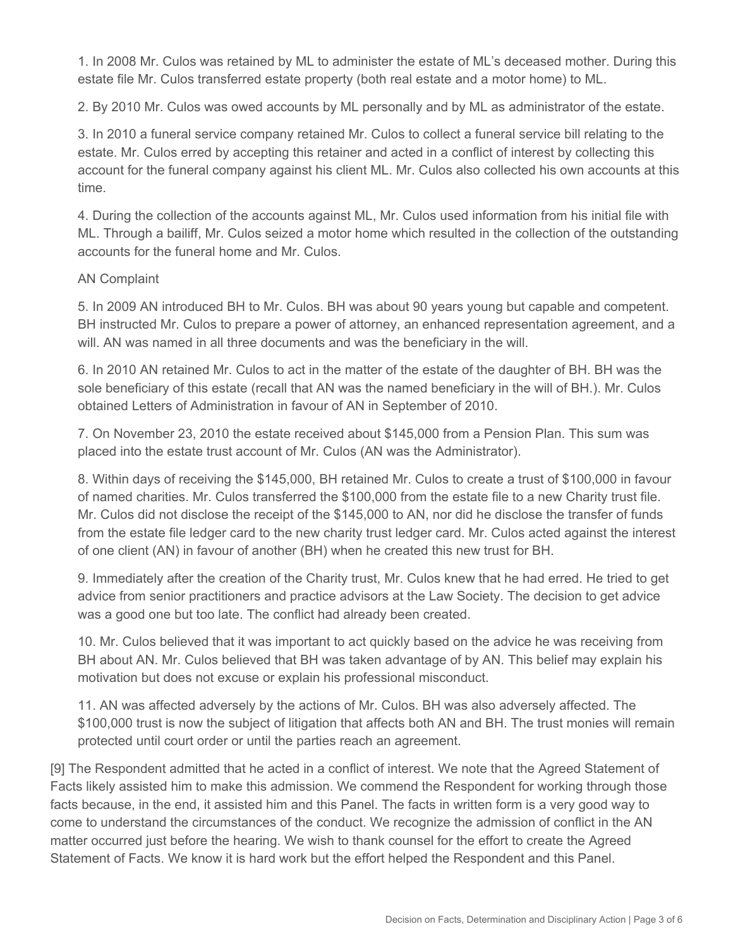1. In 2008 Mr. Culos was retained by ML to administer the estate of ML's deceased mother. During this estate file Mr. Culos transferred estate property (both real estate and a motor home) to ML.

2. By 2010 Mr. Culos was owed accounts by ML personally and by ML as administrator of the estate.

3. In 2010 a funeral service company retained Mr. Culos to collect a funeral service bill relating to the estate. Mr. Culos erred by accepting this retainer and acted in a conflict of interest by collecting this account for the funeral company against his client ML. Mr. Culos also collected his own accounts at this time.

4. During the collection of the accounts against ML, Mr. Culos used information from his initial file with ML. Through a bailiff, Mr. Culos seized a motor home which resulted in the collection of the outstanding accounts for the funeral home and Mr. Culos.

#### AN Complaint

5. In 2009 AN introduced BH to Mr. Culos. BH was about 90 years young but capable and competent. BH instructed Mr. Culos to prepare a power of attorney, an enhanced representation agreement, and a will. AN was named in all three documents and was the beneficiary in the will.

6. In 2010 AN retained Mr. Culos to act in the matter of the estate of the daughter of BH. BH was the sole beneficiary of this estate (recall that AN was the named beneficiary in the will of BH.). Mr. Culos obtained Letters of Administration in favour of AN in September of 2010.

7. On November 23, 2010 the estate received about \$145,000 from a Pension Plan. This sum was placed into the estate trust account of Mr. Culos (AN was the Administrator).

8. Within days of receiving the \$145,000, BH retained Mr. Culos to create a trust of \$100,000 in favour of named charities. Mr. Culos transferred the \$100,000 from the estate file to a new Charity trust file. Mr. Culos did not disclose the receipt of the \$145,000 to AN, nor did he disclose the transfer of funds from the estate file ledger card to the new charity trust ledger card. Mr. Culos acted against the interest of one client (AN) in favour of another (BH) when he created this new trust for BH.

9. Immediately after the creation of the Charity trust, Mr. Culos knew that he had erred. He tried to get advice from senior practitioners and practice advisors at the Law Society. The decision to get advice was a good one but too late. The conflict had already been created.

10. Mr. Culos believed that it was important to act quickly based on the advice he was receiving from BH about AN. Mr. Culos believed that BH was taken advantage of by AN. This belief may explain his motivation but does not excuse or explain his professional misconduct.

11. AN was affected adversely by the actions of Mr. Culos. BH was also adversely affected. The \$100,000 trust is now the subject of litigation that affects both AN and BH. The trust monies will remain protected until court order or until the parties reach an agreement.

[9] The Respondent admitted that he acted in a conflict of interest. We note that the Agreed Statement of Facts likely assisted him to make this admission. We commend the Respondent for working through those facts because, in the end, it assisted him and this Panel. The facts in written form is a very good way to come to understand the circumstances of the conduct. We recognize the admission of conflict in the AN matter occurred just before the hearing. We wish to thank counsel for the effort to create the Agreed Statement of Facts. We know it is hard work but the effort helped the Respondent and this Panel.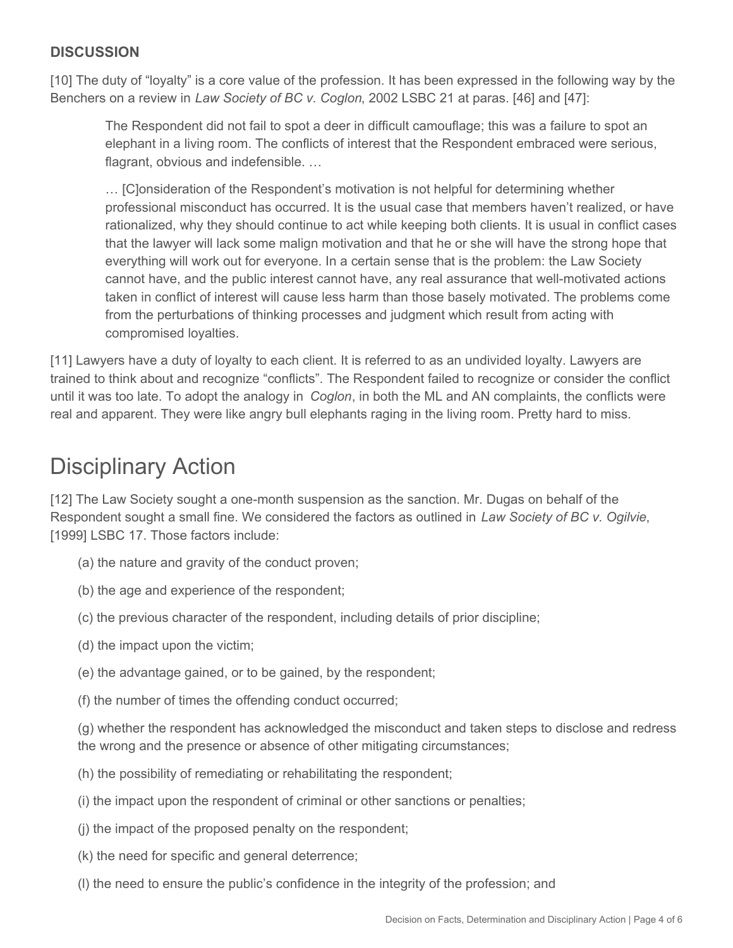### **DISCUSSION**

[10] The duty of "loyalty" is a core value of the profession. It has been expressed in the following way by the Benchers on a review in *Law Society of BC v. Coglon*, 2002 LSBC 21 at paras. [46] and [47]:

The Respondent did not fail to spot a deer in difficult camouflage; this was a failure to spot an elephant in a living room. The conflicts of interest that the Respondent embraced were serious, flagrant, obvious and indefensible. …

… [C]onsideration of the Respondent's motivation is not helpful for determining whether professional misconduct has occurred. It is the usual case that members haven't realized, or have rationalized, why they should continue to act while keeping both clients. It is usual in conflict cases that the lawyer will lack some malign motivation and that he or she will have the strong hope that everything will work out for everyone. In a certain sense that is the problem: the Law Society cannot have, and the public interest cannot have, any real assurance that well-motivated actions taken in conflict of interest will cause less harm than those basely motivated. The problems come from the perturbations of thinking processes and judgment which result from acting with compromised loyalties.

[11] Lawyers have a duty of loyalty to each client. It is referred to as an undivided loyalty. Lawyers are trained to think about and recognize "conflicts". The Respondent failed to recognize or consider the conflict until it was too late. To adopt the analogy in *Coglon*, in both the ML and AN complaints, the conflicts were real and apparent. They were like angry bull elephants raging in the living room. Pretty hard to miss.

# Disciplinary Action

[12] The Law Society sought a one-month suspension as the sanction. Mr. Dugas on behalf of the Respondent sought a small fine. We considered the factors as outlined in *Law Society of BC v. Ogilvie*, [1999] LSBC 17. Those factors include:

- (a) the nature and gravity of the conduct proven;
- (b) the age and experience of the respondent;
- (c) the previous character of the respondent, including details of prior discipline;
- (d) the impact upon the victim;
- (e) the advantage gained, or to be gained, by the respondent;
- (f) the number of times the offending conduct occurred;

(g) whether the respondent has acknowledged the misconduct and taken steps to disclose and redress the wrong and the presence or absence of other mitigating circumstances;

- (h) the possibility of remediating or rehabilitating the respondent;
- (i) the impact upon the respondent of criminal or other sanctions or penalties;
- (j) the impact of the proposed penalty on the respondent;
- (k) the need for specific and general deterrence;
- (l) the need to ensure the public's confidence in the integrity of the profession; and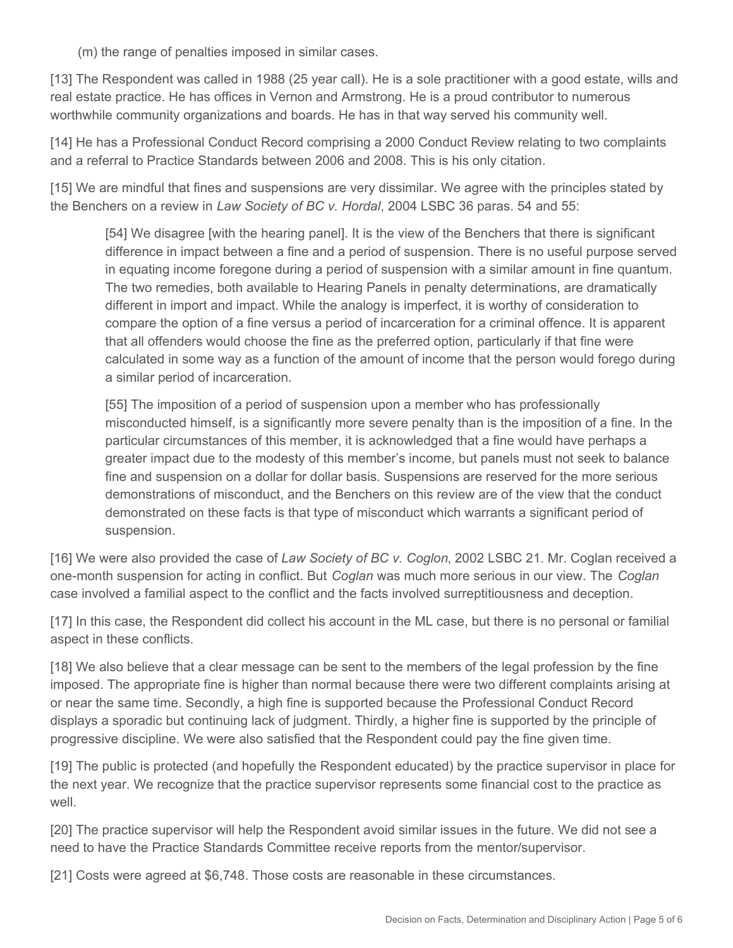(m) the range of penalties imposed in similar cases.

[13] The Respondent was called in 1988 (25 year call). He is a sole practitioner with a good estate, wills and real estate practice. He has offices in Vernon and Armstrong. He is a proud contributor to numerous worthwhile community organizations and boards. He has in that way served his community well.

[14] He has a Professional Conduct Record comprising a 2000 Conduct Review relating to two complaints and a referral to Practice Standards between 2006 and 2008. This is his only citation.

[15] We are mindful that fines and suspensions are very dissimilar. We agree with the principles stated by the Benchers on a review in *Law Society of BC v. Hordal*, 2004 LSBC 36 paras. 54 and 55:

[54] We disagree [with the hearing panel]. It is the view of the Benchers that there is significant difference in impact between a fine and a period of suspension. There is no useful purpose served in equating income foregone during a period of suspension with a similar amount in fine quantum. The two remedies, both available to Hearing Panels in penalty determinations, are dramatically different in import and impact. While the analogy is imperfect, it is worthy of consideration to compare the option of a fine versus a period of incarceration for a criminal offence. It is apparent that all offenders would choose the fine as the preferred option, particularly if that fine were calculated in some way as a function of the amount of income that the person would forego during a similar period of incarceration.

[55] The imposition of a period of suspension upon a member who has professionally misconducted himself, is a significantly more severe penalty than is the imposition of a fine. In the particular circumstances of this member, it is acknowledged that a fine would have perhaps a greater impact due to the modesty of this member's income, but panels must not seek to balance fine and suspension on a dollar for dollar basis. Suspensions are reserved for the more serious demonstrations of misconduct, and the Benchers on this review are of the view that the conduct demonstrated on these facts is that type of misconduct which warrants a significant period of suspension.

[16] We were also provided the case of *Law Society of BC v. Coglon*, 2002 LSBC 21. Mr. Coglan received a one-month suspension for acting in conflict. But *Coglan* was much more serious in our view. The *Coglan*  case involved a familial aspect to the conflict and the facts involved surreptitiousness and deception.

[17] In this case, the Respondent did collect his account in the ML case, but there is no personal or familial aspect in these conflicts.

[18] We also believe that a clear message can be sent to the members of the legal profession by the fine imposed. The appropriate fine is higher than normal because there were two different complaints arising at or near the same time. Secondly, a high fine is supported because the Professional Conduct Record displays a sporadic but continuing lack of judgment. Thirdly, a higher fine is supported by the principle of progressive discipline. We were also satisfied that the Respondent could pay the fine given time.

[19] The public is protected (and hopefully the Respondent educated) by the practice supervisor in place for the next year. We recognize that the practice supervisor represents some financial cost to the practice as well.

[20] The practice supervisor will help the Respondent avoid similar issues in the future. We did not see a need to have the Practice Standards Committee receive reports from the mentor/supervisor.

[21] Costs were agreed at \$6,748. Those costs are reasonable in these circumstances.